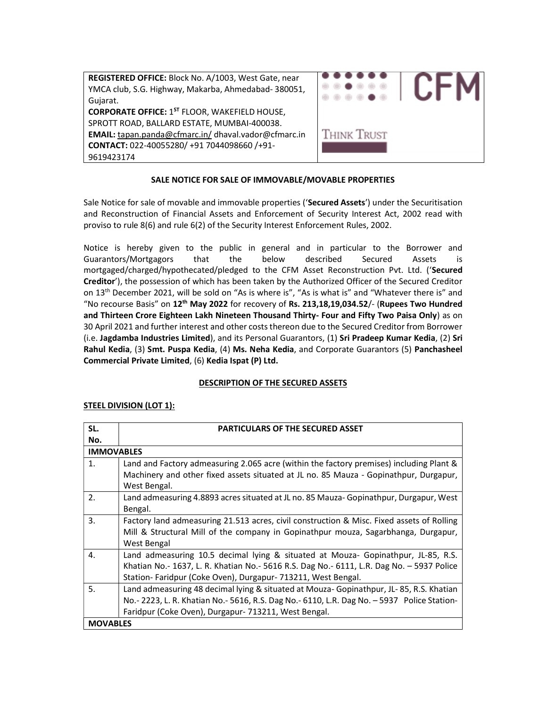| REGISTERED OFFICE: Block No. A/1003, West Gate, near<br>YMCA club, S.G. Highway, Makarba, Ahmedabad-380051,<br>Gujarat. |             |
|-------------------------------------------------------------------------------------------------------------------------|-------------|
| <b>CORPORATE OFFICE: 1ST FLOOR, WAKEFIELD HOUSE,</b>                                                                    |             |
| SPROTT ROAD, BALLARD ESTATE, MUMBAI-400038.                                                                             |             |
| EMAIL: tapan.panda@cfmarc.in/dhaval.vador@cfmarc.in                                                                     | Think Trust |
| CONTACT: 022-40055280/ +91 7044098660 /+91-                                                                             |             |
| 9619423174                                                                                                              |             |

# SALE NOTICE FOR SALE OF IMMOVABLE/MOVABLE PROPERTIES

Sale Notice for sale of movable and immovable properties ('Secured Assets') under the Securitisation and Reconstruction of Financial Assets and Enforcement of Security Interest Act, 2002 read with proviso to rule 8(6) and rule 6(2) of the Security Interest Enforcement Rules, 2002.

Notice is hereby given to the public in general and in particular to the Borrower and Guarantors/Mortgagors that the below described Secured Assets is mortgaged/charged/hypothecated/pledged to the CFM Asset Reconstruction Pvt. Ltd. ('Secured Creditor'), the possession of which has been taken by the Authorized Officer of the Secured Creditor on 13th December 2021, will be sold on "As is where is", "As is what is" and "Whatever there is" and "No recourse Basis" on  $12^{th}$  May 2022 for recovery of Rs. 213,18,19,034.52/- (Rupees Two Hundred and Thirteen Crore Eighteen Lakh Nineteen Thousand Thirty- Four and Fifty Two Paisa Only) as on 30 April 2021 and further interest and other costs thereon due to the Secured Creditor from Borrower (i.e. Jagdamba Industries Limited), and its Personal Guarantors, (1) Sri Pradeep Kumar Kedia, (2) Sri Rahul Kedia, (3) Smt. Puspa Kedia, (4) Ms. Neha Kedia, and Corporate Guarantors (5) Panchasheel Commercial Private Limited, (6) Kedia Ispat (P) Ltd.

## DESCRIPTION OF THE SECURED ASSETS

| <b>STEEL DIVISION (LOT 1):</b> |
|--------------------------------|
|--------------------------------|

| SL. | <b>PARTICULARS OF THE SECURED ASSET</b>                                                        |  |  |
|-----|------------------------------------------------------------------------------------------------|--|--|
| No. |                                                                                                |  |  |
|     | <b>IMMOVABLES</b>                                                                              |  |  |
| 1.  | Land and Factory admeasuring 2.065 acre (within the factory premises) including Plant &        |  |  |
|     | Machinery and other fixed assets situated at JL no. 85 Mauza - Gopinathpur, Durgapur,          |  |  |
|     | West Bengal.                                                                                   |  |  |
| 2.  | Land admeasuring 4.8893 acres situated at JL no. 85 Mauza- Gopinathpur, Durgapur, West         |  |  |
|     | Bengal.                                                                                        |  |  |
| 3.  | Factory land admeasuring 21.513 acres, civil construction & Misc. Fixed assets of Rolling      |  |  |
|     | Mill & Structural Mill of the company in Gopinathpur mouza, Sagarbhanga, Durgapur,             |  |  |
|     | West Bengal                                                                                    |  |  |
| 4.  | Land admeasuring 10.5 decimal lying & situated at Mouza- Gopinathpur, JL-85, R.S.              |  |  |
|     | Khatian No.- 1637, L. R. Khatian No.- 5616 R.S. Dag No.- 6111, L.R. Dag No. - 5937 Police      |  |  |
|     | Station-Faridpur (Coke Oven), Durgapur-713211, West Bengal.                                    |  |  |
| 5.  | Land admeasuring 48 decimal lying & situated at Mouza-Gopinathpur, JL-85, R.S. Khatian         |  |  |
|     | No. - 2223, L. R. Khatian No. - 5616, R.S. Dag No. - 6110, L.R. Dag No. - 5937 Police Station- |  |  |
|     | Faridpur (Coke Oven), Durgapur- 713211, West Bengal.                                           |  |  |
|     | <b>MOVABLES</b>                                                                                |  |  |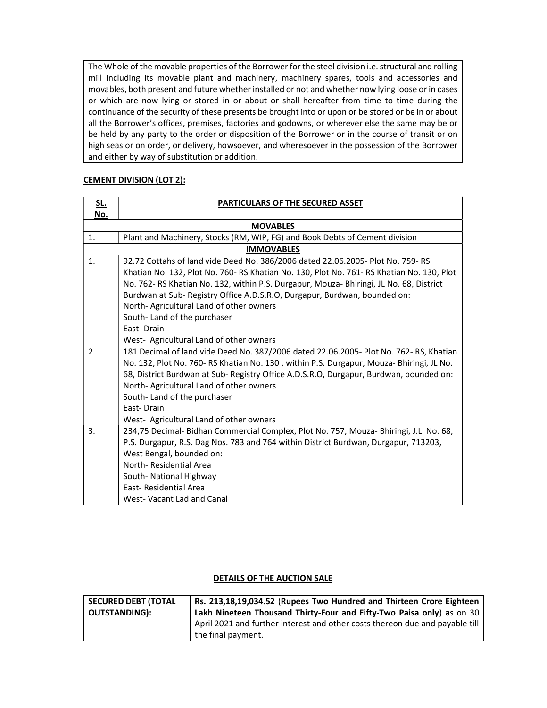The Whole of the movable properties of the Borrower for the steel division i.e. structural and rolling mill including its movable plant and machinery, machinery spares, tools and accessories and movables, both present and future whether installed or not and whether now lying loose or in cases or which are now lying or stored in or about or shall hereafter from time to time during the continuance of the security of these presents be brought into or upon or be stored or be in or about all the Borrower's offices, premises, factories and godowns, or wherever else the same may be or be held by any party to the order or disposition of the Borrower or in the course of transit or on high seas or on order, or delivery, howsoever, and wheresoever in the possession of the Borrower and either by way of substitution or addition.

## CEMENT DIVISION (LOT 2):

| <u>SL.</u>                                                                                  | <b>PARTICULARS OF THE SECURED ASSET</b>                                                   |  |  |
|---------------------------------------------------------------------------------------------|-------------------------------------------------------------------------------------------|--|--|
| No.                                                                                         |                                                                                           |  |  |
| <b>MOVABLES</b>                                                                             |                                                                                           |  |  |
| 1.                                                                                          | Plant and Machinery, Stocks (RM, WIP, FG) and Book Debts of Cement division               |  |  |
|                                                                                             | <b>IMMOVABLES</b>                                                                         |  |  |
| $\mathbf{1}$ .                                                                              | 92.72 Cottahs of land vide Deed No. 386/2006 dated 22.06.2005- Plot No. 759- RS           |  |  |
|                                                                                             | Khatian No. 132, Plot No. 760- RS Khatian No. 130, Plot No. 761- RS Khatian No. 130, Plot |  |  |
|                                                                                             | No. 762-RS Khatian No. 132, within P.S. Durgapur, Mouza- Bhiringi, JL No. 68, District    |  |  |
|                                                                                             | Burdwan at Sub- Registry Office A.D.S.R.O, Durgapur, Burdwan, bounded on:                 |  |  |
|                                                                                             | North-Agricultural Land of other owners                                                   |  |  |
|                                                                                             | South-Land of the purchaser                                                               |  |  |
|                                                                                             | <b>Fast-Drain</b>                                                                         |  |  |
|                                                                                             | West- Agricultural Land of other owners                                                   |  |  |
| 2.<br>181 Decimal of land vide Deed No. 387/2006 dated 22.06.2005- Plot No. 762-RS, Khatian |                                                                                           |  |  |
|                                                                                             | No. 132, Plot No. 760- RS Khatian No. 130, within P.S. Durgapur, Mouza- Bhiringi, JL No.  |  |  |
|                                                                                             | 68, District Burdwan at Sub- Registry Office A.D.S.R.O, Durgapur, Burdwan, bounded on:    |  |  |
|                                                                                             | North- Agricultural Land of other owners                                                  |  |  |
|                                                                                             | South-Land of the purchaser                                                               |  |  |
|                                                                                             | East-Drain                                                                                |  |  |
|                                                                                             | West- Agricultural Land of other owners                                                   |  |  |
| 3.                                                                                          | 234,75 Decimal- Bidhan Commercial Complex, Plot No. 757, Mouza- Bhiringi, J.L. No. 68,    |  |  |
|                                                                                             | P.S. Durgapur, R.S. Dag Nos. 783 and 764 within District Burdwan, Durgapur, 713203,       |  |  |
|                                                                                             | West Bengal, bounded on:                                                                  |  |  |
|                                                                                             | North-Residential Area                                                                    |  |  |
|                                                                                             | South- National Highway                                                                   |  |  |
|                                                                                             | East-Residential Area                                                                     |  |  |
|                                                                                             | West-Vacant Lad and Canal                                                                 |  |  |

## DETAILS OF THE AUCTION SALE

| <b>SECURED DEBT (TOTAL</b> | Rs. 213,18,19,034.52 (Rupees Two Hundred and Thirteen Crore Eighteen         |
|----------------------------|------------------------------------------------------------------------------|
| <b>OUTSTANDING):</b>       | Lakh Nineteen Thousand Thirty-Four and Fifty-Two Paisa only) as on 30        |
|                            | April 2021 and further interest and other costs thereon due and payable till |
|                            | I the final payment.                                                         |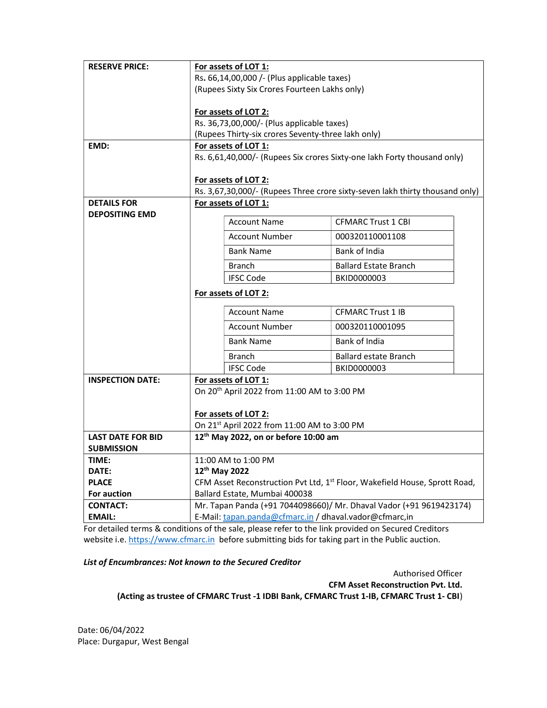| <b>RESERVE PRICE:</b>                         | For assets of LOT 1:                                                                                 |                              |  |
|-----------------------------------------------|------------------------------------------------------------------------------------------------------|------------------------------|--|
|                                               | Rs. 66,14,00,000 /- (Plus applicable taxes)                                                          |                              |  |
|                                               | (Rupees Sixty Six Crores Fourteen Lakhs only)                                                        |                              |  |
|                                               |                                                                                                      |                              |  |
|                                               | For assets of LOT 2:                                                                                 |                              |  |
|                                               | Rs. 36,73,00,000/- (Plus applicable taxes)                                                           |                              |  |
|                                               | (Rupees Thirty-six crores Seventy-three lakh only)                                                   |                              |  |
| EMD:                                          | For assets of LOT 1:                                                                                 |                              |  |
|                                               | Rs. 6,61,40,000/- (Rupees Six crores Sixty-one lakh Forty thousand only)                             |                              |  |
|                                               |                                                                                                      |                              |  |
|                                               | For assets of LOT 2:<br>Rs. 3,67,30,000/- (Rupees Three crore sixty-seven lakh thirty thousand only) |                              |  |
| <b>DETAILS FOR</b>                            | For assets of LOT 1:                                                                                 |                              |  |
| <b>DEPOSITING EMD</b>                         |                                                                                                      |                              |  |
|                                               | <b>Account Name</b>                                                                                  | <b>CFMARC Trust 1 CBI</b>    |  |
|                                               | <b>Account Number</b>                                                                                | 000320110001108              |  |
|                                               | <b>Bank Name</b>                                                                                     | Bank of India                |  |
|                                               | <b>Branch</b>                                                                                        | <b>Ballard Estate Branch</b> |  |
|                                               | <b>IFSC Code</b>                                                                                     | BKID0000003                  |  |
|                                               | For assets of LOT 2:                                                                                 |                              |  |
|                                               | <b>Account Name</b>                                                                                  | <b>CFMARC Trust 1 IB</b>     |  |
|                                               | <b>Account Number</b>                                                                                | 000320110001095              |  |
|                                               | <b>Bank Name</b>                                                                                     | Bank of India                |  |
|                                               | <b>Branch</b>                                                                                        | <b>Ballard estate Branch</b> |  |
|                                               | <b>IFSC Code</b>                                                                                     | BKID0000003                  |  |
| <b>INSPECTION DATE:</b>                       | For assets of LOT 1:                                                                                 |                              |  |
|                                               | On 20 <sup>th</sup> April 2022 from 11:00 AM to 3:00 PM                                              |                              |  |
|                                               |                                                                                                      |                              |  |
|                                               | For assets of LOT 2:                                                                                 |                              |  |
|                                               | On 21st April 2022 from 11:00 AM to 3:00 PM                                                          |                              |  |
| <b>LAST DATE FOR BID</b><br><b>SUBMISSION</b> | 12 <sup>th</sup> May 2022, on or before 10:00 am                                                     |                              |  |
| TIME:                                         | 11:00 AM to 1:00 PM                                                                                  |                              |  |
| DATE:                                         | 12th May 2022                                                                                        |                              |  |
| <b>PLACE</b>                                  | CFM Asset Reconstruction Pvt Ltd, 1 <sup>st</sup> Floor, Wakefield House, Sprott Road,               |                              |  |
| For auction                                   | Ballard Estate, Mumbai 400038                                                                        |                              |  |
| <b>CONTACT:</b>                               | Mr. Tapan Panda (+91 7044098660)/ Mr. Dhaval Vador (+91 9619423174)                                  |                              |  |
| <b>EMAIL:</b>                                 | E-Mail: tapan.panda@cfmarc.in / dhaval.vador@cfmarc,in                                               |                              |  |

For detailed terms & conditions of the sale, please refer to the link provided on Secured Creditors website i.e. https://www.cfmarc.in before submitting bids for taking part in the Public auction.

## List of Encumbrances: Not known to the Secured Creditor

Authorised Officer

CFM Asset Reconstruction Pvt. Ltd.

(Acting as trustee of CFMARC Trust -1 IDBI Bank, CFMARC Trust 1-IB, CFMARC Trust 1- CBI)

Date: 06/04/2022 Place: Durgapur, West Bengal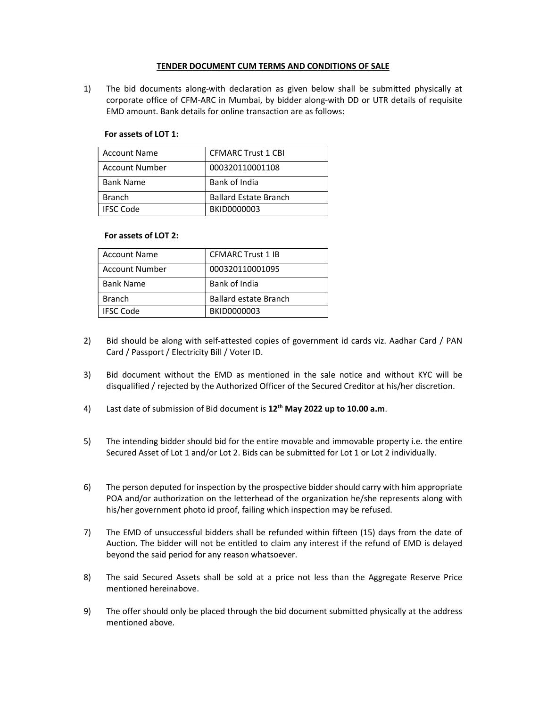## TENDER DOCUMENT CUM TERMS AND CONDITIONS OF SALE

1) The bid documents along-with declaration as given below shall be submitted physically at corporate office of CFM-ARC in Mumbai, by bidder along-with DD or UTR details of requisite EMD amount. Bank details for online transaction are as follows:

## For assets of LOT 1:

| <b>Account Name</b>   | <b>CFMARC Trust 1 CBI</b>    |
|-----------------------|------------------------------|
| <b>Account Number</b> | 000320110001108              |
| <b>Bank Name</b>      | Bank of India                |
| <b>Branch</b>         | <b>Ballard Estate Branch</b> |
| <b>IFSC Code</b>      | BKID0000003                  |

## For assets of LOT 2:

| <b>Account Name</b>   | <b>CFMARC Trust 1 IB</b>     |
|-----------------------|------------------------------|
| <b>Account Number</b> | 000320110001095              |
| <b>Bank Name</b>      | Bank of India                |
| <b>Branch</b>         | <b>Ballard estate Branch</b> |
| <b>IFSC Code</b>      | BKID0000003                  |

- 2) Bid should be along with self-attested copies of government id cards viz. Aadhar Card / PAN Card / Passport / Electricity Bill / Voter ID.
- 3) Bid document without the EMD as mentioned in the sale notice and without KYC will be disqualified / rejected by the Authorized Officer of the Secured Creditor at his/her discretion.
- 4) Last date of submission of Bid document is  $12<sup>th</sup>$  May 2022 up to 10.00 a.m.
- 5) The intending bidder should bid for the entire movable and immovable property i.e. the entire Secured Asset of Lot 1 and/or Lot 2. Bids can be submitted for Lot 1 or Lot 2 individually.
- 6) The person deputed for inspection by the prospective bidder should carry with him appropriate POA and/or authorization on the letterhead of the organization he/she represents along with his/her government photo id proof, failing which inspection may be refused.
- 7) The EMD of unsuccessful bidders shall be refunded within fifteen (15) days from the date of Auction. The bidder will not be entitled to claim any interest if the refund of EMD is delayed beyond the said period for any reason whatsoever.
- 8) The said Secured Assets shall be sold at a price not less than the Aggregate Reserve Price mentioned hereinabove.
- 9) The offer should only be placed through the bid document submitted physically at the address mentioned above.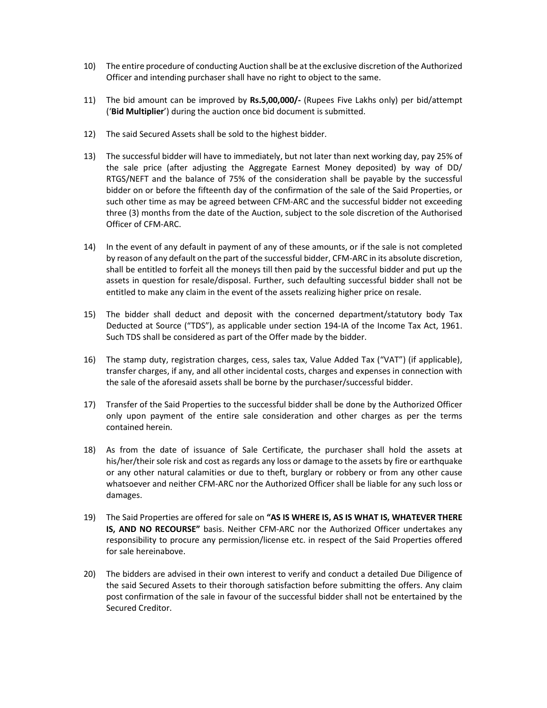- 10) The entire procedure of conducting Auction shall be at the exclusive discretion of the Authorized Officer and intending purchaser shall have no right to object to the same.
- 11) The bid amount can be improved by Rs.5,00,000/- (Rupees Five Lakhs only) per bid/attempt ('Bid Multiplier') during the auction once bid document is submitted.
- 12) The said Secured Assets shall be sold to the highest bidder.
- 13) The successful bidder will have to immediately, but not later than next working day, pay 25% of the sale price (after adjusting the Aggregate Earnest Money deposited) by way of DD/ RTGS/NEFT and the balance of 75% of the consideration shall be payable by the successful bidder on or before the fifteenth day of the confirmation of the sale of the Said Properties, or such other time as may be agreed between CFM-ARC and the successful bidder not exceeding three (3) months from the date of the Auction, subject to the sole discretion of the Authorised Officer of CFM-ARC.
- 14) In the event of any default in payment of any of these amounts, or if the sale is not completed by reason of any default on the part of the successful bidder, CFM-ARC in its absolute discretion, shall be entitled to forfeit all the moneys till then paid by the successful bidder and put up the assets in question for resale/disposal. Further, such defaulting successful bidder shall not be entitled to make any claim in the event of the assets realizing higher price on resale.
- 15) The bidder shall deduct and deposit with the concerned department/statutory body Tax Deducted at Source ("TDS"), as applicable under section 194-IA of the Income Tax Act, 1961. Such TDS shall be considered as part of the Offer made by the bidder.
- 16) The stamp duty, registration charges, cess, sales tax, Value Added Tax ("VAT") (if applicable), transfer charges, if any, and all other incidental costs, charges and expenses in connection with the sale of the aforesaid assets shall be borne by the purchaser/successful bidder.
- 17) Transfer of the Said Properties to the successful bidder shall be done by the Authorized Officer only upon payment of the entire sale consideration and other charges as per the terms contained herein.
- 18) As from the date of issuance of Sale Certificate, the purchaser shall hold the assets at his/her/their sole risk and cost as regards any loss or damage to the assets by fire or earthquake or any other natural calamities or due to theft, burglary or robbery or from any other cause whatsoever and neither CFM-ARC nor the Authorized Officer shall be liable for any such loss or damages.
- 19) The Said Properties are offered for sale on "AS IS WHERE IS, AS IS WHAT IS, WHATEVER THERE IS, AND NO RECOURSE" basis. Neither CFM-ARC nor the Authorized Officer undertakes any responsibility to procure any permission/license etc. in respect of the Said Properties offered for sale hereinabove.
- 20) The bidders are advised in their own interest to verify and conduct a detailed Due Diligence of the said Secured Assets to their thorough satisfaction before submitting the offers. Any claim post confirmation of the sale in favour of the successful bidder shall not be entertained by the Secured Creditor.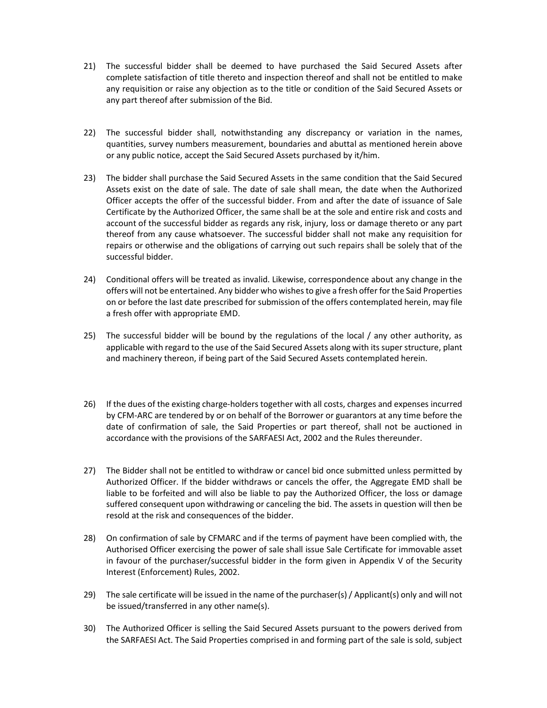- 21) The successful bidder shall be deemed to have purchased the Said Secured Assets after complete satisfaction of title thereto and inspection thereof and shall not be entitled to make any requisition or raise any objection as to the title or condition of the Said Secured Assets or any part thereof after submission of the Bid.
- 22) The successful bidder shall, notwithstanding any discrepancy or variation in the names, quantities, survey numbers measurement, boundaries and abuttal as mentioned herein above or any public notice, accept the Said Secured Assets purchased by it/him.
- 23) The bidder shall purchase the Said Secured Assets in the same condition that the Said Secured Assets exist on the date of sale. The date of sale shall mean, the date when the Authorized Officer accepts the offer of the successful bidder. From and after the date of issuance of Sale Certificate by the Authorized Officer, the same shall be at the sole and entire risk and costs and account of the successful bidder as regards any risk, injury, loss or damage thereto or any part thereof from any cause whatsoever. The successful bidder shall not make any requisition for repairs or otherwise and the obligations of carrying out such repairs shall be solely that of the successful bidder.
- 24) Conditional offers will be treated as invalid. Likewise, correspondence about any change in the offers will not be entertained. Any bidder who wishes to give a fresh offer for the Said Properties on or before the last date prescribed for submission of the offers contemplated herein, may file a fresh offer with appropriate EMD.
- 25) The successful bidder will be bound by the regulations of the local / any other authority, as applicable with regard to the use of the Said Secured Assets along with its super structure, plant and machinery thereon, if being part of the Said Secured Assets contemplated herein.
- 26) If the dues of the existing charge-holders together with all costs, charges and expenses incurred by CFM-ARC are tendered by or on behalf of the Borrower or guarantors at any time before the date of confirmation of sale, the Said Properties or part thereof, shall not be auctioned in accordance with the provisions of the SARFAESI Act, 2002 and the Rules thereunder.
- 27) The Bidder shall not be entitled to withdraw or cancel bid once submitted unless permitted by Authorized Officer. If the bidder withdraws or cancels the offer, the Aggregate EMD shall be liable to be forfeited and will also be liable to pay the Authorized Officer, the loss or damage suffered consequent upon withdrawing or canceling the bid. The assets in question will then be resold at the risk and consequences of the bidder.
- 28) On confirmation of sale by CFMARC and if the terms of payment have been complied with, the Authorised Officer exercising the power of sale shall issue Sale Certificate for immovable asset in favour of the purchaser/successful bidder in the form given in Appendix V of the Security Interest (Enforcement) Rules, 2002.
- 29) The sale certificate will be issued in the name of the purchaser(s) / Applicant(s) only and will not be issued/transferred in any other name(s).
- 30) The Authorized Officer is selling the Said Secured Assets pursuant to the powers derived from the SARFAESI Act. The Said Properties comprised in and forming part of the sale is sold, subject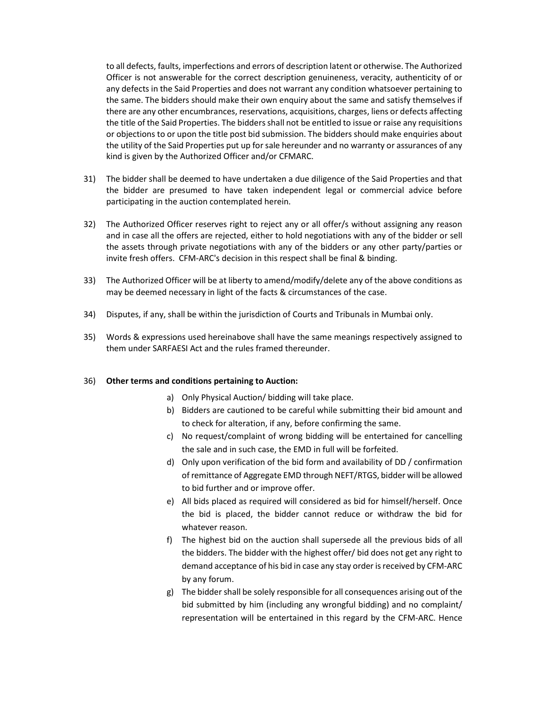to all defects, faults, imperfections and errors of description latent or otherwise. The Authorized Officer is not answerable for the correct description genuineness, veracity, authenticity of or any defects in the Said Properties and does not warrant any condition whatsoever pertaining to the same. The bidders should make their own enquiry about the same and satisfy themselves if there are any other encumbrances, reservations, acquisitions, charges, liens or defects affecting the title of the Said Properties. The bidders shall not be entitled to issue or raise any requisitions or objections to or upon the title post bid submission. The bidders should make enquiries about the utility of the Said Properties put up for sale hereunder and no warranty or assurances of any kind is given by the Authorized Officer and/or CFMARC.

- 31) The bidder shall be deemed to have undertaken a due diligence of the Said Properties and that the bidder are presumed to have taken independent legal or commercial advice before participating in the auction contemplated herein.
- 32) The Authorized Officer reserves right to reject any or all offer/s without assigning any reason and in case all the offers are rejected, either to hold negotiations with any of the bidder or sell the assets through private negotiations with any of the bidders or any other party/parties or invite fresh offers. CFM-ARC's decision in this respect shall be final & binding.
- 33) The Authorized Officer will be at liberty to amend/modify/delete any of the above conditions as may be deemed necessary in light of the facts & circumstances of the case.
- 34) Disputes, if any, shall be within the jurisdiction of Courts and Tribunals in Mumbai only.
- 35) Words & expressions used hereinabove shall have the same meanings respectively assigned to them under SARFAESI Act and the rules framed thereunder.

#### 36) Other terms and conditions pertaining to Auction:

- a) Only Physical Auction/ bidding will take place.
- b) Bidders are cautioned to be careful while submitting their bid amount and to check for alteration, if any, before confirming the same.
- c) No request/complaint of wrong bidding will be entertained for cancelling the sale and in such case, the EMD in full will be forfeited.
- d) Only upon verification of the bid form and availability of DD / confirmation of remittance of Aggregate EMD through NEFT/RTGS, bidder will be allowed to bid further and or improve offer.
- e) All bids placed as required will considered as bid for himself/herself. Once the bid is placed, the bidder cannot reduce or withdraw the bid for whatever reason.
- f) The highest bid on the auction shall supersede all the previous bids of all the bidders. The bidder with the highest offer/ bid does not get any right to demand acceptance of his bid in case any stay order is received by CFM-ARC by any forum.
- g) The bidder shall be solely responsible for all consequences arising out of the bid submitted by him (including any wrongful bidding) and no complaint/ representation will be entertained in this regard by the CFM-ARC. Hence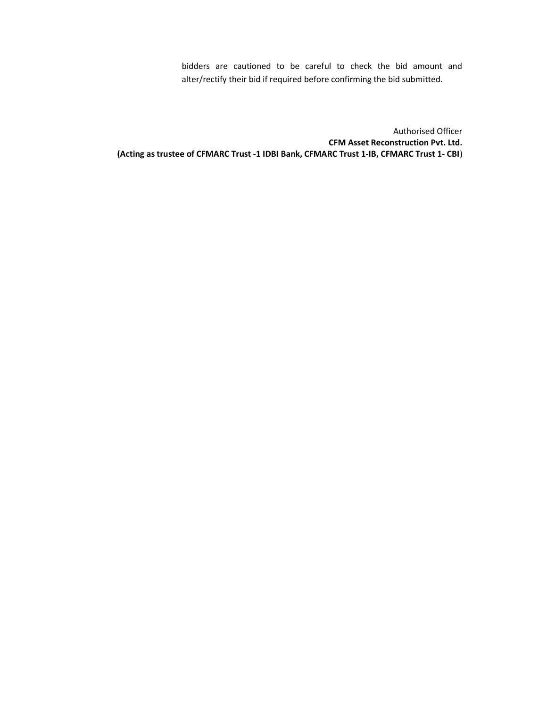bidders are cautioned to be careful to check the bid amount and alter/rectify their bid if required before confirming the bid submitted.

Authorised Officer CFM Asset Reconstruction Pvt. Ltd. (Acting as trustee of CFMARC Trust -1 IDBI Bank, CFMARC Trust 1-IB, CFMARC Trust 1- CBI)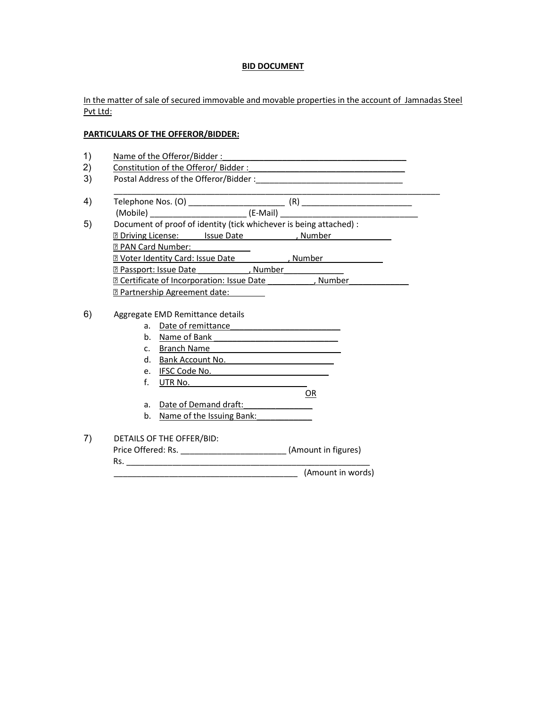## BID DOCUMENT

In the matter of sale of secured immovable and movable properties in the account of Jamnadas Steel Pvt Ltd:

# PARTICULARS OF THE OFFEROR/BIDDER:

- 1) Name of the Offeror/Bidder :
- 2) Constitution of the Offeror/ Bidder :
- 3) Postal Address of the Offeror/Bidder :\_\_\_\_\_\_\_\_\_\_\_\_\_\_\_\_\_\_\_\_\_\_\_\_\_\_\_\_\_\_\_\_
- \_\_\_\_\_\_\_\_\_\_\_\_\_\_\_\_\_\_\_\_\_\_\_\_\_\_\_\_\_\_\_\_\_\_\_\_\_\_\_\_\_\_\_\_\_\_\_\_\_\_\_\_\_\_\_\_\_\_\_\_\_\_\_\_\_\_\_\_\_\_\_ 4) Telephone Nos. (O) \_\_\_\_\_\_\_\_\_\_\_\_\_\_\_\_\_\_\_\_\_ (R) \_\_\_\_\_\_\_\_\_\_\_\_\_\_\_\_\_\_\_\_\_\_\_\_ (Mobile) \_\_\_\_\_\_\_\_\_\_\_\_\_\_\_\_\_\_\_\_\_ (E-Mail) \_\_\_\_\_\_\_\_\_\_\_\_\_\_\_\_\_\_\_\_\_\_\_\_\_\_\_\_\_\_ 5) Document of proof of identity (tick whichever is being attached) :
- **Driving License:** Issue Date 1997, Number **Z PAN Card Number: Z** Voter Identity Card: Issue Date [1] Number **Passport: Issue Date** \_\_\_\_\_\_\_\_\_\_\_, Number **EXECUTE: CONTERNATION: ISSUE Date** The University Point of Incorporation: Issue Date The University Point Point Partnership Agreement date:
- 6) Aggregate EMD Remittance details
	- a. Date of remittance
	- b. Name of Bank
	- c. Branch Name
	- d. Bank Account No.
	- e. IFSC Code No. \_\_\_\_\_\_\_\_\_\_\_\_\_\_\_\_\_\_\_\_\_\_\_\_\_
	- f. UTR No. OR

a. Date of Demand draft:

b. Name of the Issuing Bank:

# 7) DETAILS OF THE OFFER/BID:

Price Offered: Rs. \_\_\_\_\_\_\_\_\_\_\_\_\_\_\_\_\_\_\_\_\_\_\_\_\_\_\_\_\_\_\_\_(Amount in figures)

Rs. \_\_\_\_\_\_\_\_\_\_\_\_\_\_\_\_\_\_\_\_\_\_\_\_\_\_\_\_\_\_\_\_\_\_\_\_\_\_\_\_\_\_\_\_\_\_\_\_\_\_\_\_\_

\_\_\_\_\_\_\_\_\_\_\_\_\_\_\_\_\_\_\_\_\_\_\_\_\_\_\_\_\_\_\_\_\_\_\_\_\_\_\_\_ (Amount in words)